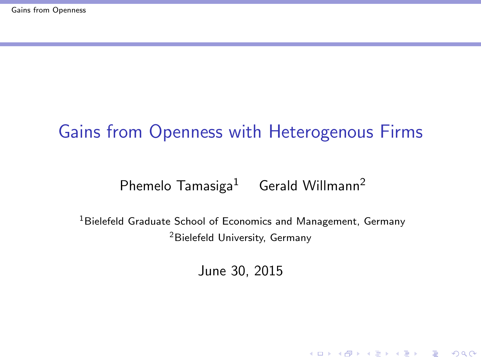### <span id="page-0-0"></span>Gains from Openness with Heterogenous Firms

#### Phemelo Tamasiga<sup>1</sup> Gerald Willmann<sup>2</sup>

<sup>1</sup> Bielefeld Graduate School of Economics and Management, Germany <sup>2</sup>Bielefeld University, Germany

June 30, 2015

K ロ ▶ K @ ▶ K 할 > K 할 > 1 할 > 1 이익어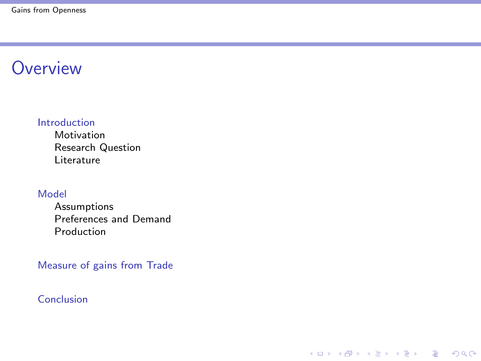#### **Overview**

#### [Introduction](#page-2-0)

[Motivation](#page-2-0) [Research Question](#page-7-0) [Literature](#page-9-0)

#### [Model](#page-10-0)

[Assumptions](#page-10-0) [Preferences and Demand](#page-11-0) [Production](#page-12-0)

[Measure of gains from Trade](#page-21-0)

K ロ ▶ K @ ▶ K 할 > K 할 > 1 할 > 1 이익어

[Conclusion](#page-26-0)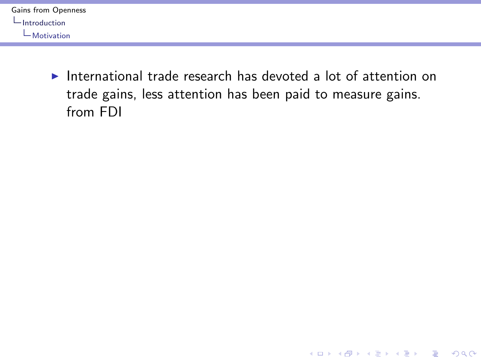<span id="page-2-0"></span>

| Gains from Openness |
|---------------------|
| $\Box$ Introduction |
| $\Box$ Motivation   |

International trade research has devoted a lot of attention on trade gains, less attention has been paid to measure gains. from FDI

K ロ ▶ K @ ▶ K 할 ▶ K 할 ▶ | 할 | © 9 Q @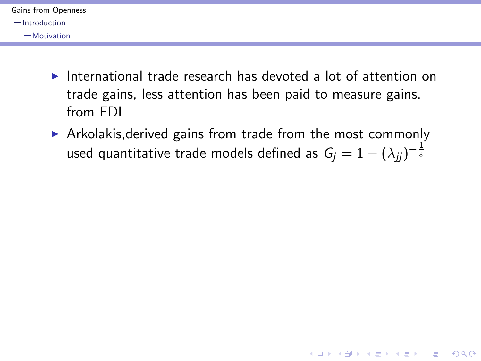<span id="page-3-0"></span>

| Gains from Openness |
|---------------------|
| Introduction        |
| $\Box$ Motivation   |

- International trade research has devoted a lot of attention on trade gains, less attention has been paid to measure gains. from FDI
- $\triangleright$  Arkolakis, derived gains from trade from the most commonly used quantitative trade models defined as  $\mathit{G_j} = 1 - (\lambda_{jj})^{-\frac{1}{\varepsilon}}$

K ロ ▶ K @ ▶ K 할 > K 할 > 1 할 > 1 이익어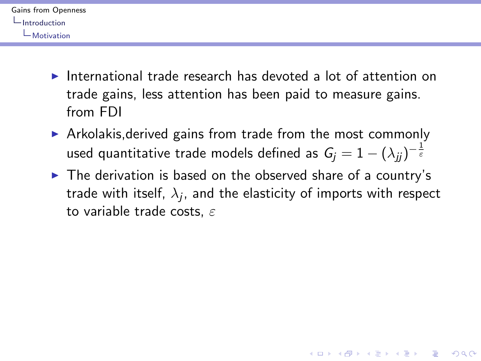<span id="page-4-0"></span>

| Gains from Openness |
|---------------------|
| -Introduction       |
| $\Box$ Motivation   |

- International trade research has devoted a lot of attention on trade gains, less attention has been paid to measure gains. from FDI
- $\triangleright$  Arkolakis, derived gains from trade from the most commonly used quantitative trade models defined as  $\mathit{G_j} = 1 - (\lambda_{jj})^{-\frac{1}{\varepsilon}}$
- $\triangleright$  The derivation is based on the observed share of a country's trade with itself,  $\lambda_j$ , and the elasticity of imports with respect to variable trade costs,  $\varepsilon$

**KORK ERKER ADE YOUR**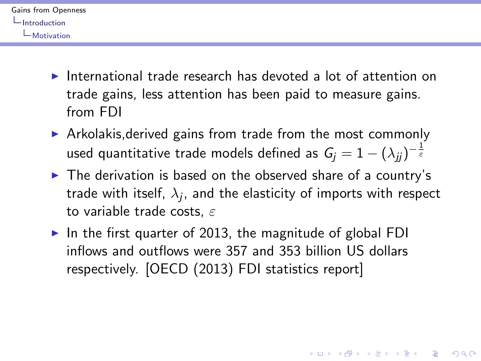<span id="page-5-0"></span>

| Gains from Openness |
|---------------------|
| -Introduction       |
| $\Box$ Motivation   |

- International trade research has devoted a lot of attention on trade gains, less attention has been paid to measure gains. from FDI
- $\triangleright$  Arkolakis, derived gains from trade from the most commonly used quantitative trade models defined as  $\mathit{G_j} = 1 - (\lambda_{jj})^{-\frac{1}{\varepsilon}}$
- $\triangleright$  The derivation is based on the observed share of a country's trade with itself,  $\lambda_j$ , and the elasticity of imports with respect to variable trade costs,  $\varepsilon$

**KORKAR KERKER E VOOR** 

In the first quarter of 2013, the magnitude of global FDI inflows and outflows were 357 and 353 billion US dollars respectively. [OECD (2013) FDI statistics report]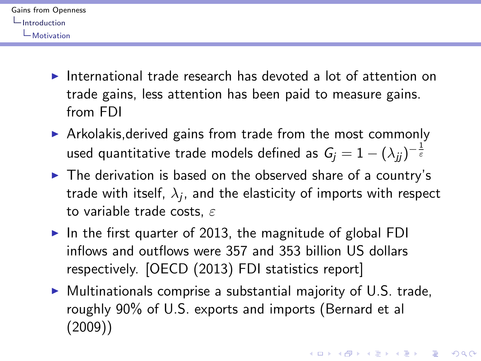<span id="page-6-0"></span>

| Gains from Openness |
|---------------------|
| -Introduction       |
| $\Box$ Motivation   |

- International trade research has devoted a lot of attention on trade gains, less attention has been paid to measure gains. from FDI
- $\triangleright$  Arkolakis, derived gains from trade from the most commonly used quantitative trade models defined as  $\mathit{G_j} = 1 - (\lambda_{jj})^{-\frac{1}{\varepsilon}}$
- $\triangleright$  The derivation is based on the observed share of a country's trade with itself,  $\lambda_j$ , and the elasticity of imports with respect to variable trade costs,  $\varepsilon$
- In the first quarter of 2013, the magnitude of global FDI inflows and outflows were 357 and 353 billion US dollars respectively. [OECD (2013) FDI statistics report]
- $\triangleright$  Multinationals comprise a substantial majority of U.S. trade, roughly 90% of U.S. exports and imports (Bernard et al (2009))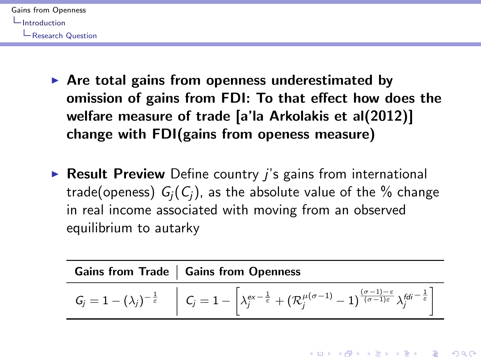<span id="page-7-0"></span>

- $\triangleright$  Are total gains from openness underestimated by omission of gains from FDI: To that effect how does the welfare measure of trade [a'la Arkolakis et al(2012)] change with FDI(gains from openess measure)
- $\triangleright$  Result Preview Define country *i's* gains from international trade(openess)  $G_i(C_i)$ , as the absolute value of the  $\%$  change in real income associated with moving from an observed equilibrium to autarky

| <b>Gains from Trade   Gains from Openness</b>                                                                                                                                                                                                                                                               |
|-------------------------------------------------------------------------------------------------------------------------------------------------------------------------------------------------------------------------------------------------------------------------------------------------------------|
| $G_j = 1 - (\lambda_j)^{-\frac{1}{\varepsilon}} \quad \left  \quad C_j = 1 - \left\lceil \lambda_j^{\text{ex}-\frac{1}{\varepsilon}} + (\mathcal{R}_j^{\mu(\sigma-1)} - 1)^{\frac{(\sigma-1)-\varepsilon}{(\sigma-1)\varepsilon}} \lambda_j^{\text{fd}i - \frac{1}{\varepsilon}} \right\rceil \right\rceil$ |

**KORK ERKER ADE YOUR**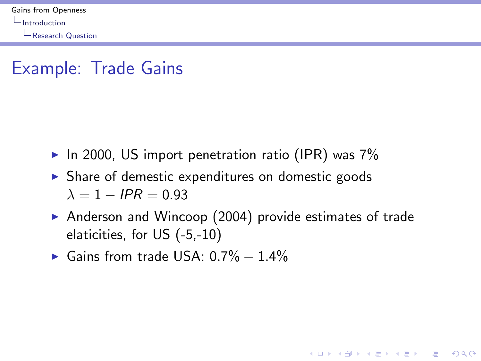<span id="page-8-0"></span>**L** [Research Question](#page-8-0)

# Example: Trade Gains

- In 2000, US import penetration ratio (IPR) was  $7\%$
- $\triangleright$  Share of demestic expenditures on domestic goods  $\lambda = 1 - IPR = 0.93$
- Anderson and Wincoop  $(2004)$  provide estimates of trade elaticities, for US (-5,-10)

**KORK ERKER ADE YOUR** 

 $\blacktriangleright$  Gains from trade USA: 0.7% – 1.4%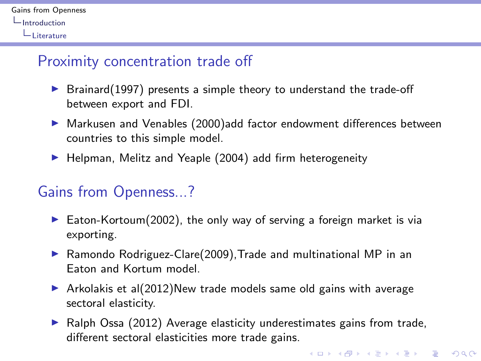<span id="page-9-0"></span>

#### Proximity concentration trade off

- $\triangleright$  Brainard(1997) presents a simple theory to understand the trade-off between export and FDI.
- ▶ Markusen and Venables (2000)add factor endowment differences between countries to this simple model.
- $\blacktriangleright$  Helpman, Melitz and Yeaple (2004) add firm heterogeneity

#### Gains from Openness...?

- Eaton-Kortoum(2002), the only way of serving a foreign market is via exporting.
- $\triangleright$  Ramondo Rodriguez-Clare(2009), Trade and multinational MP in an Eaton and Kortum model.
- $\triangleright$  Arkolakis et al(2012)New trade models same old gains with average sectoral elasticity.
- $\blacktriangleright$  Ralph Ossa (2012) Average elasticity underestimates gains from trade, different sectoral elasticities more trade gains.

**KORK STRATER STRAKER**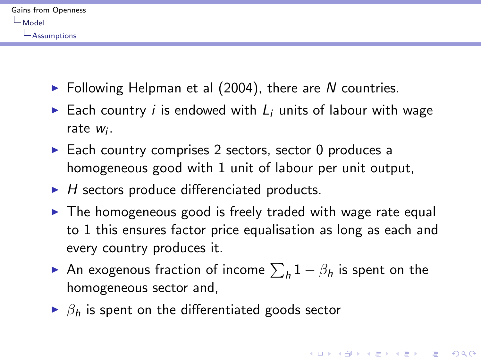<span id="page-10-0"></span>

| Gains from Openness |
|---------------------|
| $-$ Model           |
| $-$ Assumptions     |

- $\blacktriangleright$  Following Helpman et al (2004), there are N countries.
- Each country *i* is endowed with  $L_i$  units of labour with wage rate w<sub>i</sub>.
- $\triangleright$  Each country comprises 2 sectors, sector 0 produces a homogeneous good with 1 unit of labour per unit output,
- $\blacktriangleright$  H sectors produce differenciated products.
- $\triangleright$  The homogeneous good is freely traded with wage rate equal to 1 this ensures factor price equalisation as long as each and every country produces it.
- ► An exogenous fraction of income  $\sum_h 1-\beta_h$  is spent on the homogeneous sector and,

4 D > 4 P + 4 B + 4 B + B + 9 Q O

 $\triangleright$   $\beta_h$  is spent on the differentiated goods sector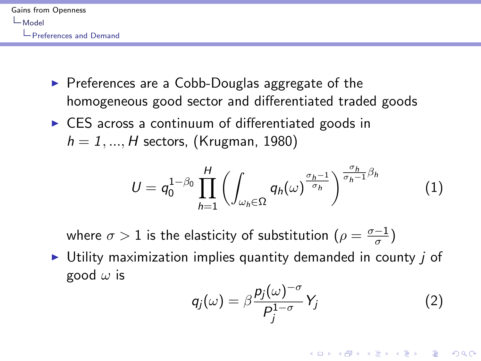<span id="page-11-0"></span>

- $\triangleright$  Preferences are a Cobb-Douglas aggregate of the homogeneous good sector and differentiated traded goods
- $\triangleright$  CES across a continuum of differentiated goods in  $h = 1, ..., H$  sectors, (Krugman, 1980)

$$
U = q_0^{1-\beta_0} \prod_{h=1}^H \left( \int_{\omega_h \in \Omega} q_h(\omega)^{\frac{\sigma_h-1}{\sigma_h}} \right)^{\frac{\sigma_h}{\sigma_h-1}\beta_h}
$$
(1)

where  $\sigma > 1$  is the elasticity of substitution  $(\rho = \frac{\sigma - 1}{\sigma})$  $\frac{-1}{\sigma}$ 

 $\triangleright$  Utility maximization implies quantity demanded in county *i* of good  $\omega$  is

$$
q_j(\omega) = \beta \frac{p_j(\omega)^{-\sigma}}{P_j^{1-\sigma}} Y_j \tag{2}
$$

**KORKAR KERKER E VOOR**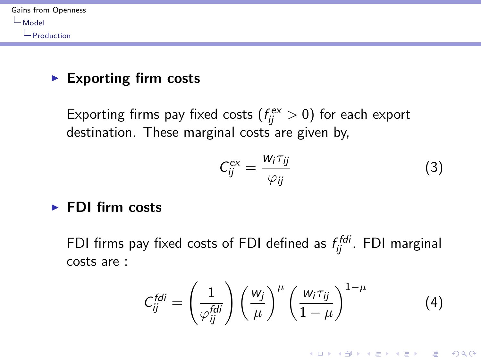<span id="page-12-0"></span>

#### $\blacktriangleright$  Exporting firm costs

Exporting firms pay fixed costs  $(f_{ij}^{\text{ex}} > 0)$  for each export destination. These marginal costs are given by,

$$
C_{ij}^{ex} = \frac{w_i \tau_{ij}}{\varphi_{ij}} \tag{3}
$$

**KORK ERKER ADE YOUR** 

#### $\blacktriangleright$  FDI firm costs

FDI firms pay fixed costs of FDI defined as  $f_{ij}^{\mathit{fdi}}$ . FDI marginal costs are :

$$
C_{ij}^{fdi} = \left(\frac{1}{\varphi_{ij}^{fdi}}\right) \left(\frac{w_j}{\mu}\right)^{\mu} \left(\frac{w_i \tau_{ij}}{1-\mu}\right)^{1-\mu} \tag{4}
$$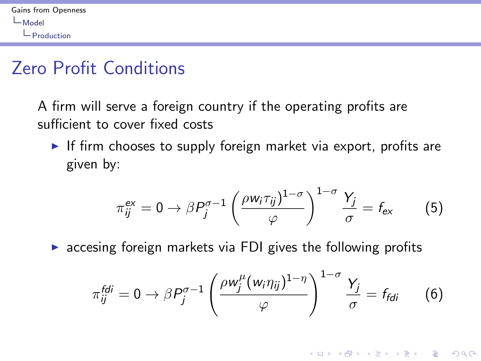# <span id="page-13-0"></span>Zero Profit Conditions

A firm will serve a foreign country if the operating profits are sufficient to cover fixed costs

If firm chooses to supply foreign market via export, profits are given by:

$$
\pi_{ij}^{\text{ex}} = 0 \to \beta P_j^{\sigma - 1} \left( \frac{\rho w_i \tau_{ij}}{\varphi} \right)^{1 - \sigma} \frac{Y_j}{\sigma} = f_{\text{ex}} \tag{5}
$$

 $\triangleright$  accesing foreign markets via FDI gives the following profits

$$
\pi_{ij}^{fdi} = 0 \rightarrow \beta P_j^{\sigma-1} \left( \frac{\rho w_j^{\mu} (w_i \eta_{ij})^{1-\eta}}{\varphi} \right)^{1-\sigma} \frac{Y_j}{\sigma} = f_{fdi} \qquad (6)
$$

**KORK STRATER STRAKER**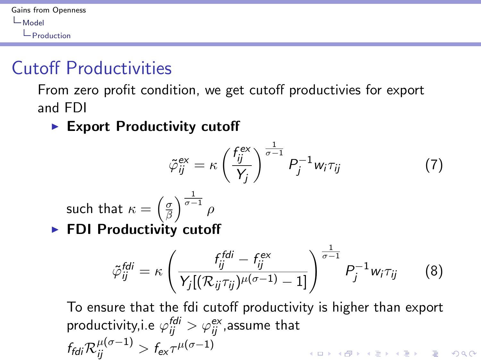# <span id="page-14-0"></span>Cutoff Productivities

From zero profit condition, we get cutoff productivies for export and FDI

 $\blacktriangleright$  Export Productivity cutoff

$$
\tilde{\varphi}_{ij}^{\text{ex}} = \kappa \left( \frac{f_{ij}^{\text{ex}}}{Y_j} \right)^{\frac{1}{\sigma - 1}} P_j^{-1} w_i \tau_{ij}
$$
(7)

such that 
$$
\kappa = \left(\frac{\sigma}{\beta}\right)^{\frac{1}{\sigma - 1}} \rho
$$
  
▶ **FDI Productivity cutoff**

$$
\tilde{\varphi}_{ij}^{fdi} = \kappa \left( \frac{f_{ij}^{fdi} - f_{ij}^{ex}}{Y_j[(\mathcal{R}_{ij}\tau_{ij})^{\mu(\sigma-1)} - 1]} \right)^{\frac{1}{\sigma-1}} P_j^{-1} w_i \tau_{ij} \qquad (8)
$$

To ensure that the fdi cutoff productivity is higher than export productivity,i.e  $\varphi_{ij}^{\mathit{fdi}} > \varphi_{ij}^{\mathit{ex}}$ ,assume that  $f_{\mathit{fd}i} \mathcal{R}_{ij}^{\mu (\sigma -1)} > f_{\mathsf{ex}} \tau^{\mu (\sigma -1)}$ **KORK (FRAGE) EL POLO**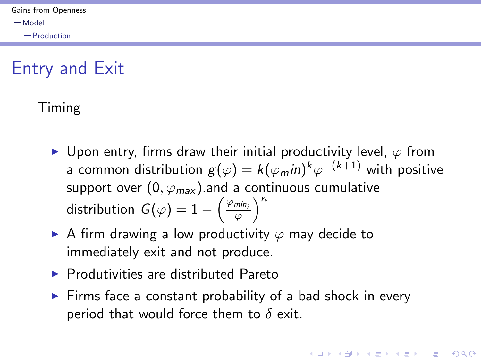# <span id="page-15-0"></span>Entry and Exit

#### Timing

- $\triangleright$  Upon entry, firms draw their initial productivity level,  $\varphi$  from a common distribution  $g(\varphi)=k(\varphi_m$ i $)^k\varphi^{-(k+1)}$  with positive support over  $(0, \varphi_{max})$  and a continuous cumulative distribution  $G(\varphi) = 1 - \left(\frac{\varphi_{min_i}}{\varphi}\right)^{\kappa}$
- A firm drawing a low productivity  $\varphi$  may decide to immediately exit and not produce.
- $\blacktriangleright$  Produtivities are distributed Pareto
- $\triangleright$  Firms face a constant probability of a bad shock in every period that would force them to  $\delta$  exit.

**KORK ERKER ADE YOUR**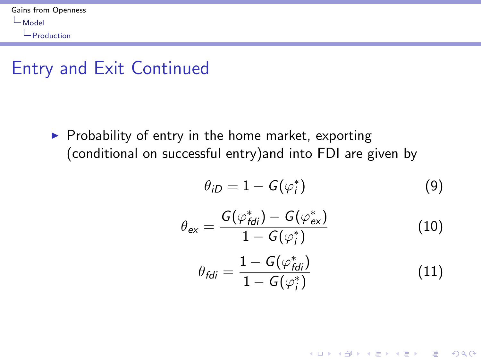## <span id="page-16-0"></span>Entry and Exit Continued

 $\triangleright$  Probability of entry in the home market, exporting (conditional on successful entry)and into FDI are given by

$$
\theta_{iD} = 1 - G(\varphi_i^*) \tag{9}
$$

$$
\theta_{\rm ex} = \frac{G(\varphi_{\rm fdi}^*) - G(\varphi_{\rm ex}^*)}{1 - G(\varphi_i^*)} \tag{10}
$$

$$
\theta_{\text{fd}i} = \frac{1 - G(\varphi_{\text{fd}i}^*)}{1 - G(\varphi_i^*)} \tag{11}
$$

K ロ ▶ K @ ▶ K 할 > K 할 > 1 할 > 1 이익어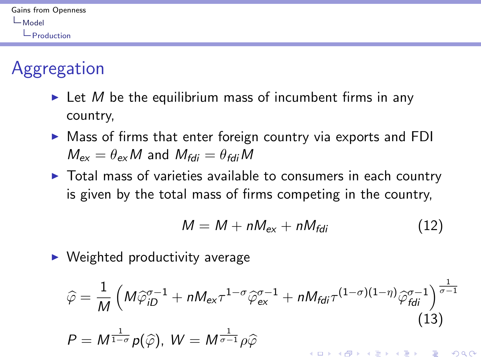<span id="page-17-0"></span>

| Gains from Openness |
|---------------------|
| $-$ Model           |
| $\Box$ Production   |

# Aggregation

- In Let M be the equilibrium mass of incumbent firms in any country,
- $\triangleright$  Mass of firms that enter foreign country via exports and FDI  $M_{\text{av}} = \theta_{\text{av}} M$  and  $M_{\text{fdi}} = \theta_{\text{fdi}} M$
- $\triangleright$  Total mass of varieties available to consumers in each country is given by the total mass of firms competing in the country,

$$
M = M + nM_{\rm ex} + nM_{\rm fdi} \tag{12}
$$

 $\triangleright$  Weighted productivity average

$$
\widehat{\varphi} = \frac{1}{M} \left( M \widehat{\varphi}_{iD}^{\sigma-1} + n M_{ex} \tau^{1-\sigma} \widehat{\varphi}_{ex}^{\sigma-1} + n M_{fdi} \tau^{(1-\sigma)(1-\eta)} \widehat{\varphi}_{fdi}^{\sigma-1} \right)^{\frac{1}{\sigma-1}}
$$
\n(13)\n
$$
P = M^{\frac{1}{1-\sigma}} p(\widehat{\varphi}), \ W = M^{\frac{1}{\sigma-1}} p\widehat{\varphi}
$$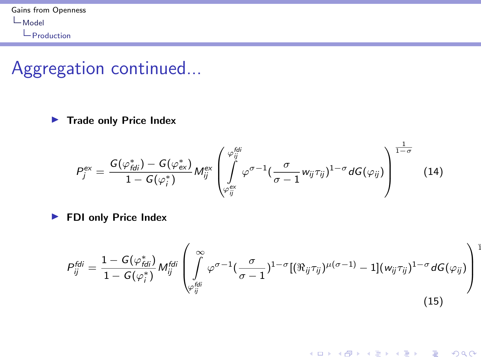## <span id="page-18-0"></span>Aggregation continued...

 $\blacktriangleright$  Trade only Price Index

$$
P_j^{ex} = \frac{G(\varphi_{fdi}^*) - G(\varphi_{ex}^*)}{1 - G(\varphi_i^*)} M_{ij}^{ex} \left( \int_{\varphi_{ij}^{ex}}^{\varphi_{ij}^{fdi}} \varphi^{\sigma-1} \left( \frac{\sigma}{\sigma-1} w_{ij} \tau_{ij} \right)^{1-\sigma} dG(\varphi_{ij}) \right)^{\frac{1-\sigma}{1-\sigma}}
$$
(14)

**FDI only Price Index** 

$$
P_{ij}^{fdi} = \frac{1 - G(\varphi_{fdi}^*)}{1 - G(\varphi_i^*)} M_{ij}^{fdi} \left( \int\limits_{\varphi_{ij}^{fdi}}^{\infty} \varphi^{\sigma - 1} \left( \frac{\sigma}{\sigma - 1} \right)^{1 - \sigma} [(\Re_{ij} \tau_{ij})^{\mu(\sigma - 1)} - 1](w_{ij} \tau_{ij})^{1 - \sigma} dG(\varphi_{ij}) \right)
$$
\n(15)

K ロ ▶ K @ ▶ K 할 ▶ K 할 ▶ | 할 | © 9 Q @

1

1−σ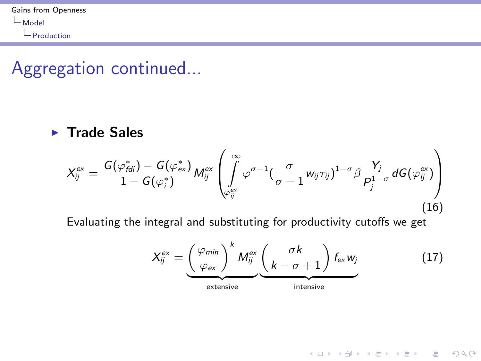### <span id="page-19-0"></span>Aggregation continued...

#### $\blacktriangleright$  Trade Sales

$$
X_{ij}^{\text{ex}} = \frac{G(\varphi_{\text{fd}i}^*) - G(\varphi_{\text{ex}}^*)}{1 - G(\varphi_i^*)} M_{ij}^{\text{ex}} \left( \int\limits_{\varphi_{ij}^{\text{ex}}}^{\infty} \varphi^{\sigma-1} \left( \frac{\sigma}{\sigma - 1} w_{ij} \tau_{ij} \right)^{1 - \sigma} \beta \frac{Y_j}{P_j^{1 - \sigma}} dG(\varphi_{ij}^{\text{ex}}) \right) \tag{16}
$$

Evaluating the integral and substituting for productivity cutoffs we get

$$
X_{ij}^{ex} = \underbrace{\left(\frac{\varphi_{min}}{\varphi_{ex}}\right)^k M_{ij}^{ex}}_{\text{extensive}} \underbrace{\left(\frac{\sigma k}{k-\sigma+1}\right) f_{ex} w_j}_{\text{intensive}}
$$
(17)

K ロ ▶ K @ ▶ K 할 > K 할 > 1 할 > 1 이익어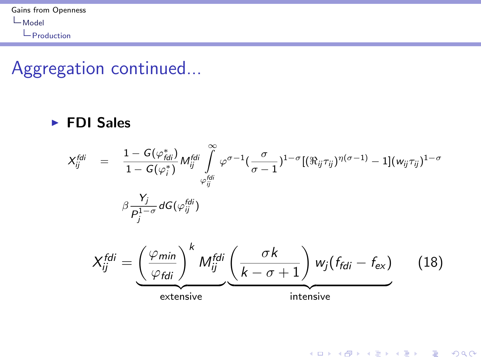# <span id="page-20-0"></span>Aggregation continued...

#### $\blacktriangleright$  FDI Sales

$$
X_{ij}^{fdi} = \frac{1 - G(\varphi_{fdi}^{*})}{1 - G(\varphi_i^{*})} M_{ij}^{fdi} \int\limits_{\varphi_{ij}^{fdi}}^{\infty} \varphi^{\sigma-1} \left(\frac{\sigma}{\sigma-1}\right)^{1-\sigma} [(\Re_{ij}\tau_{ij})^{\eta(\sigma-1)} - 1](w_{ij}\tau_{ij})^{1-\sigma}
$$

$$
\beta \frac{Y_j}{P_j^{1-\sigma}} dG(\varphi_{ij}^{fdi})
$$

$$
X_{ij}^{fdi} = \underbrace{\left(\frac{\varphi_{min}}{\varphi_{fdi}}\right)^k M_{ij}^{fdi}}_{\text{extensive}} \underbrace{\left(\frac{\sigma k}{k-\sigma+1}\right) w_j (f_{fdi} - f_{\text{ex}})}_{\text{intensive}} \qquad (18)
$$

K ロ K K (P) K (E) K (E) X (E) X (P) K (P)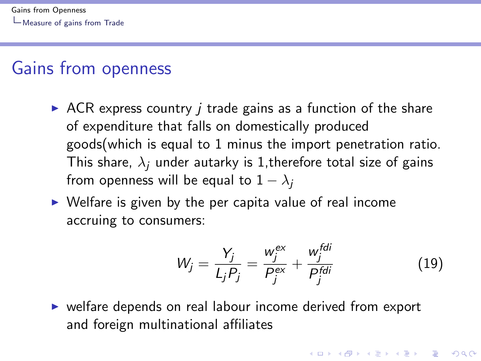## <span id="page-21-0"></span>Gains from openness

- $\triangleright$  ACR express country *i* trade gains as a function of the share of expenditure that falls on domestically produced goods(which is equal to 1 minus the import penetration ratio. This share,  $\lambda_i$  under autarky is 1, therefore total size of gains from openness will be equal to  $1 - \lambda_i$
- $\triangleright$  Welfare is given by the per capita value of real income accruing to consumers:

$$
W_j = \frac{Y_j}{L_j P_j} = \frac{w_j^{ex}}{P_j^{ex}} + \frac{w_j^{fdi}}{P_j^{fdi}}
$$
(19)

 $\triangleright$  welfare depends on real labour income derived from export and foreign multinational affiliates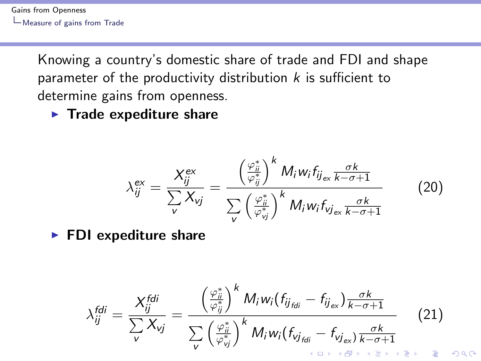<span id="page-22-0"></span>[Gains from Openness](#page-0-0) [Measure of gains from Trade](#page-22-0)

> Knowing a country's domestic share of trade and FDI and shape parameter of the productivity distribution  $k$  is sufficient to determine gains from openness.

 $\blacktriangleright$  Trade expediture share

$$
\lambda_{ij}^{\text{ex}} = \frac{X_{ij}^{\text{ex}}}{\sum_{v} X_{vj}} = \frac{\left(\frac{\varphi_{ij}^*}{\varphi_{ij}^*}\right)^k M_i w_i f_{ij_{\text{ex}}} \frac{\sigma k}{k - \sigma + 1}}{\sum_{v} \left(\frac{\varphi_{ij}^*}{\varphi_{vj}^*}\right)^k M_i w_i f_{vj_{\text{ex}}} \frac{\sigma k}{k - \sigma + 1}}
$$
(20)

 $\blacktriangleright$  FDI expediture share

$$
\lambda_{ij}^{\text{fdi}} = \frac{X_{ij}^{\text{fdi}}}{\sum_{\mathbf{v}} X_{\mathbf{v}j}} = \frac{\left(\frac{\varphi_{ii}^*}{\varphi_{ij}^*}\right)^k M_i w_i (f_{ij_{\text{fdi}}} - f_{ij_{\text{ex}}}) \frac{\sigma k}{k - \sigma + 1}}{\sum_{\mathbf{v}} \left(\frac{\varphi_{ij}^*}{\varphi_{\mathbf{v}j}^*}\right)^k M_i w_i (f_{\mathbf{v}j_{\text{fdi}}} - f_{\mathbf{v}j_{\text{ex}}}) \frac{\sigma k}{k - \sigma + 1}}
$$
(21)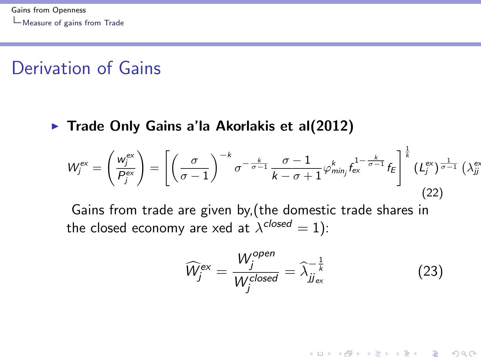## <span id="page-23-0"></span>Derivation of Gains

 $\blacktriangleright$  Trade Only Gains a'la Akorlakis et al(2012)

$$
W_j^{\text{ex}} = \left(\frac{w_j^{\text{ex}}}{P_j^{\text{ex}}}\right) = \left[\left(\frac{\sigma}{\sigma - 1}\right)^{-k} \sigma^{-\frac{k}{\sigma - 1}} \frac{\sigma - 1}{k - \sigma + 1} \varphi_{\text{min}_j}^{k} f_{\text{ex}}^{1 - \frac{k}{\sigma - 1}} f_E\right]^{\frac{1}{k}} (L_j^{\text{ex}})^{\frac{1}{\sigma - 1}} (\lambda_{jj}^{\text{ex}})
$$
\n(22)

Gains from trade are given by,(the domestic trade shares in the closed economy are xed at  $\lambda^\text{\emph{closed}}=1)$ :

$$
\widehat{W}_j^{\text{ex}} = \frac{W_j^{\text{open}}}{W_j^{\text{closed}}} = \widehat{\lambda}_{jj_{\text{ex}}}^{-\frac{1}{k}}
$$
(23)

**KORK ERKER ADE YOUR**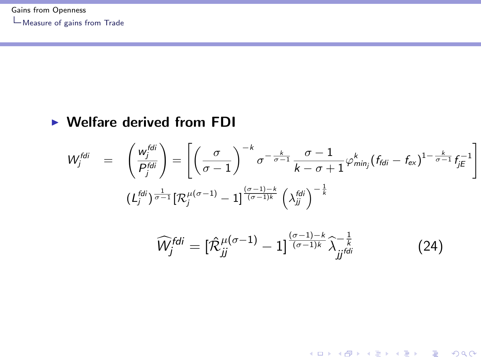#### <span id="page-24-0"></span> $\triangleright$  Welfare derived from FDI

$$
W_j^{fdi} = \left(\frac{w_j^{fdi}}{P_j^{fdi}}\right) = \left[\left(\frac{\sigma}{\sigma-1}\right)^{-k} \sigma^{-\frac{k}{\sigma-1}} \frac{\sigma-1}{k-\sigma+1} \varphi_{min_j}^k (f_{fdi} - f_{ex})^{1-\frac{k}{\sigma-1}} f_{jE}^{-1}\right]
$$

$$
(L_j^{fdi})^{\frac{1}{\sigma-1}} [\mathcal{R}_j^{\mu(\sigma-1)} - 1]^{\frac{(\sigma-1)-k}{(\sigma-1)k}} \left(\lambda_{jj}^{fdi}\right)^{-\frac{1}{k}}
$$

$$
\widehat{W}_j^{fdi} = \left[\widehat{\mathcal{R}}_{jj}^{\mu(\sigma-1)} - 1\right]^{\frac{(\sigma-1)-k}{(\sigma-1)k}} \widehat{\lambda}_{jj}^{-\frac{1}{k}} \tag{24}
$$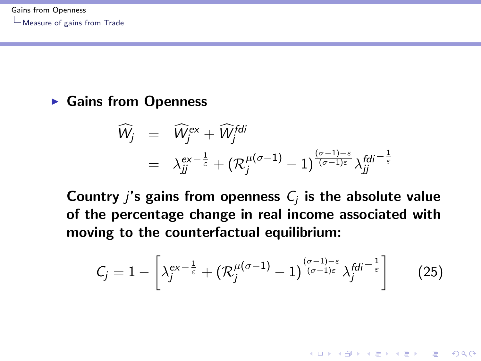#### <span id="page-25-0"></span> $\blacktriangleright$  Gains from Openness

$$
\begin{array}{lcl} \widehat{\mathcal{W}_{j}} & = & \widehat{\mathcal{W}_{j}}^{ex} + \widehat{\mathcal{W}_{j}^{fdi}} \\ & = & \lambda_{jj}^{ex-\frac{1}{\varepsilon}} + \big(\mathcal{R}_{j}^{\mu(\sigma-1)}-1\big)^{\frac{(\sigma-1)-\varepsilon}{(\sigma-1)\varepsilon}} \lambda_{jj}^{fdi-\frac{1}{\varepsilon}} \end{array}
$$

Country  $j$ 's gains from openness  $C_j$  is the absolute value of the percentage change in real income associated with moving to the counterfactual equilibrium:

$$
C_j = 1 - \left[ \lambda_j^{ex-\frac{1}{\varepsilon}} + \left( \mathcal{R}_j^{\mu(\sigma-1)} - 1 \right)^{\frac{(\sigma-1)-\varepsilon}{(\sigma-1)\varepsilon}} \lambda_j^{fdi-\frac{1}{\varepsilon}} \right] \tag{25}
$$

4 D > 4 P + 4 B + 4 B + B + 9 Q O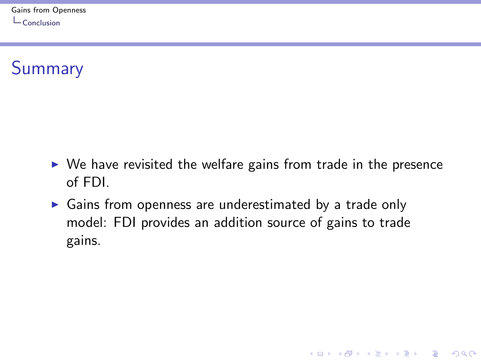<span id="page-26-0"></span>**Summary** 

 $\triangleright$  We have revisited the welfare gains from trade in the presence of FDI.

K ロ ▶ K @ ▶ K 할 > K 할 > 1 할 > 1 이익어

 $\triangleright$  Gains from openness are underestimated by a trade only model: FDI provides an addition source of gains to trade gains.